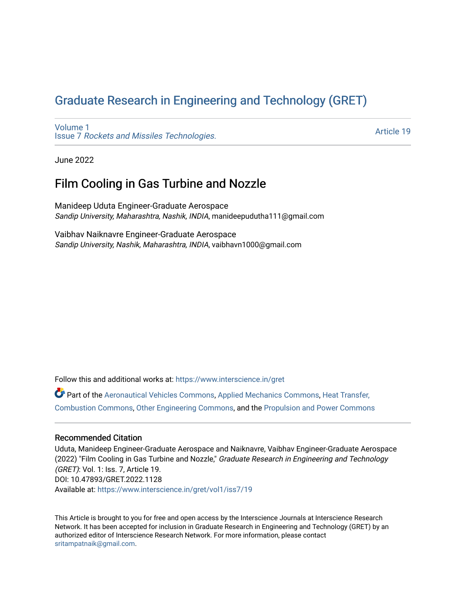# [Graduate Research in Engineering and Technology \(GRET\)](https://www.interscience.in/gret)

[Volume 1](https://www.interscience.in/gret/vol1) Issue 7 [Rockets and Missiles Technologies.](https://www.interscience.in/gret/vol1/iss7)

[Article 19](https://www.interscience.in/gret/vol1/iss7/19) 

June 2022

## Film Cooling in Gas Turbine and Nozzle

Manideep Uduta Engineer-Graduate Aerospace Sandip University, Maharashtra, Nashik, INDIA, manideepudutha111@gmail.com

Vaibhav Naiknavre Engineer-Graduate Aerospace Sandip University, Nashik, Maharashtra, INDIA, vaibhavn1000@gmail.com

Follow this and additional works at: [https://www.interscience.in/gret](https://www.interscience.in/gret?utm_source=www.interscience.in%2Fgret%2Fvol1%2Fiss7%2F19&utm_medium=PDF&utm_campaign=PDFCoverPages)

Part of the [Aeronautical Vehicles Commons,](https://network.bepress.com/hgg/discipline/219?utm_source=www.interscience.in%2Fgret%2Fvol1%2Fiss7%2F19&utm_medium=PDF&utm_campaign=PDFCoverPages) [Applied Mechanics Commons](https://network.bepress.com/hgg/discipline/295?utm_source=www.interscience.in%2Fgret%2Fvol1%2Fiss7%2F19&utm_medium=PDF&utm_campaign=PDFCoverPages), [Heat Transfer,](https://network.bepress.com/hgg/discipline/300?utm_source=www.interscience.in%2Fgret%2Fvol1%2Fiss7%2F19&utm_medium=PDF&utm_campaign=PDFCoverPages)  [Combustion Commons,](https://network.bepress.com/hgg/discipline/300?utm_source=www.interscience.in%2Fgret%2Fvol1%2Fiss7%2F19&utm_medium=PDF&utm_campaign=PDFCoverPages) [Other Engineering Commons,](https://network.bepress.com/hgg/discipline/315?utm_source=www.interscience.in%2Fgret%2Fvol1%2Fiss7%2F19&utm_medium=PDF&utm_campaign=PDFCoverPages) and the [Propulsion and Power Commons](https://network.bepress.com/hgg/discipline/225?utm_source=www.interscience.in%2Fgret%2Fvol1%2Fiss7%2F19&utm_medium=PDF&utm_campaign=PDFCoverPages) 

## Recommended Citation

Uduta, Manideep Engineer-Graduate Aerospace and Naiknavre, Vaibhav Engineer-Graduate Aerospace (2022) "Film Cooling in Gas Turbine and Nozzle," Graduate Research in Engineering and Technology (GRET): Vol. 1: Iss. 7, Article 19. DOI: 10.47893/GRET.2022.1128 Available at: [https://www.interscience.in/gret/vol1/iss7/19](https://www.interscience.in/gret/vol1/iss7/19?utm_source=www.interscience.in%2Fgret%2Fvol1%2Fiss7%2F19&utm_medium=PDF&utm_campaign=PDFCoverPages) 

This Article is brought to you for free and open access by the Interscience Journals at Interscience Research Network. It has been accepted for inclusion in Graduate Research in Engineering and Technology (GRET) by an authorized editor of Interscience Research Network. For more information, please contact [sritampatnaik@gmail.com](mailto:sritampatnaik@gmail.com).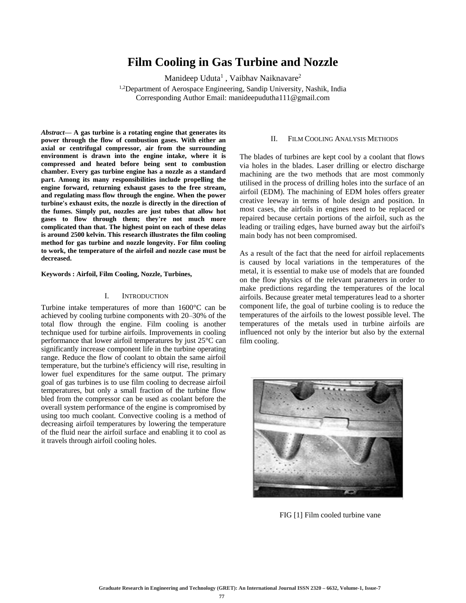## **Film Cooling in Gas Turbine and Nozzle**

Manideep Uduta<sup>1</sup>, Vaibhav Naiknavare<sup>2</sup>

<sup>1,2</sup>Department of Aerospace Engineering, Sandip University, Nashik, India Corresponding Author Email: manideepudutha111@gmail.com

*Abstract***— A gas turbine is a rotating engine that generates its power through the flow of combustion gases. With either an axial or centrifugal compressor, air from the surrounding environment is drawn into the engine intake, where it is compressed and heated before being sent to combustion chamber. Every gas turbine engine has a nozzle as a standard part. Among its many responsibilities include propelling the engine forward, returning exhaust gases to the free stream, and regulating mass flow through the engine. When the power turbine's exhaust exits, the nozzle is directly in the direction of the fumes. Simply put, nozzles are just tubes that allow hot gases to flow through them; they're not much more complicated than that. The highest point on each of these delas is around 2500 kelvin. This research illustrates the film cooling method for gas turbine and nozzle longevity. For film cooling to work, the temperature of the airfoil and nozzle case must be decreased.**

**Keywords : Airfoil, Film Cooling, Nozzle, Turbines,** 

#### I. INTRODUCTION

Turbine intake temperatures of more than 1600°C can be achieved by cooling turbine components with 20–30% of the total flow through the engine. Film cooling is another technique used for turbine airfoils. Improvements in cooling performance that lower airfoil temperatures by just 25°C can significantly increase component life in the turbine operating range. Reduce the flow of coolant to obtain the same airfoil temperature, but the turbine's efficiency will rise, resulting in lower fuel expenditures for the same output. The primary goal of gas turbines is to use film cooling to decrease airfoil temperatures, but only a small fraction of the turbine flow bled from the compressor can be used as coolant before the overall system performance of the engine is compromised by using too much coolant. Convective cooling is a method of decreasing airfoil temperatures by lowering the temperature of the fluid near the airfoil surface and enabling it to cool as it travels through airfoil cooling holes.

#### II. FILM COOLING ANALYSIS METHODS

The blades of turbines are kept cool by a coolant that flows via holes in the blades. Laser drilling or electro discharge machining are the two methods that are most commonly utilised in the process of drilling holes into the surface of an airfoil (EDM). The machining of EDM holes offers greater creative leeway in terms of hole design and position. In most cases, the airfoils in engines need to be replaced or repaired because certain portions of the airfoil, such as the leading or trailing edges, have burned away but the airfoil's main body has not been compromised.

As a result of the fact that the need for airfoil replacements is caused by local variations in the temperatures of the metal, it is essential to make use of models that are founded on the flow physics of the relevant parameters in order to make predictions regarding the temperatures of the local airfoils. Because greater metal temperatures lead to a shorter component life, the goal of turbine cooling is to reduce the temperatures of the airfoils to the lowest possible level. The temperatures of the metals used in turbine airfoils are influenced not only by the interior but also by the external film cooling.



FIG [1] Film cooled turbine vane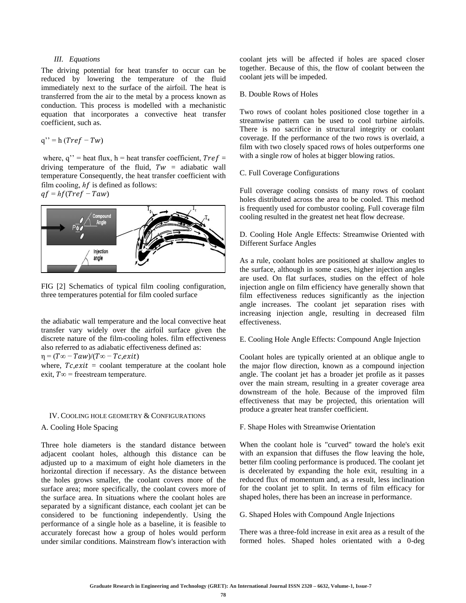## *III. Equations*

The driving potential for heat transfer to occur can be reduced by lowering the temperature of the fluid immediately next to the surface of the airfoil. The heat is transferred from the air to the metal by a process known as conduction. This process is modelled with a mechanistic equation that incorporates a convective heat transfer coefficient, such as.

$$
q'' = h (Tref - Tw)
$$

where,  $q''$  = heat flux, h = heat transfer coefficient,  $Tref =$ driving temperature of the fluid,  $Tw = adiabatic$  wall temperature Consequently, the heat transfer coefficient with film cooling,  $hf$  is defined as follows:  $qf = hf(Tref - Taw)$ 



FIG [2] Schematics of typical film cooling configuration, three temperatures potential for film cooled surface

the adiabatic wall temperature and the local convective heat transfer vary widely over the airfoil surface given the discrete nature of the film-cooling holes. film effectiveness also referred to as adiabatic effectiveness defined as:

 $\eta = (T\infty - Taw)/(T\infty - Tc, exit)$ 

where,  $Tc, exit = \text{codant temperature at the coolant hole}$ exit,  $T\infty$  = freestream temperature.

#### IV. COOLING HOLE GEOMETRY & CONFIGURATIONS

A. Cooling Hole Spacing

Three hole diameters is the standard distance between adjacent coolant holes, although this distance can be adjusted up to a maximum of eight hole diameters in the horizontal direction if necessary. As the distance between the holes grows smaller, the coolant covers more of the surface area; more specifically, the coolant covers more of the surface area. In situations where the coolant holes are separated by a significant distance, each coolant jet can be considered to be functioning independently. Using the performance of a single hole as a baseline, it is feasible to accurately forecast how a group of holes would perform under similar conditions. Mainstream flow's interaction with coolant jets will be affected if holes are spaced closer together. Because of this, the flow of coolant between the coolant jets will be impeded.

#### B. Double Rows of Holes

Two rows of coolant holes positioned close together in a streamwise pattern can be used to cool turbine airfoils. There is no sacrifice in structural integrity or coolant coverage. If the performance of the two rows is overlaid, a film with two closely spaced rows of holes outperforms one with a single row of holes at bigger blowing ratios.

#### C. Full Coverage Configurations

Full coverage cooling consists of many rows of coolant holes distributed across the area to be cooled. This method is frequently used for combustor cooling. Full coverage film cooling resulted in the greatest net heat flow decrease.

D. Cooling Hole Angle Effects: Streamwise Oriented with Different Surface Angles

As a rule, coolant holes are positioned at shallow angles to the surface, although in some cases, higher injection angles are used. On flat surfaces, studies on the effect of hole injection angle on film efficiency have generally shown that film effectiveness reduces significantly as the injection angle increases. The coolant jet separation rises with increasing injection angle, resulting in decreased film effectiveness.

E. Cooling Hole Angle Effects: Compound Angle Injection

Coolant holes are typically oriented at an oblique angle to the major flow direction, known as a compound injection angle. The coolant jet has a broader jet profile as it passes over the main stream, resulting in a greater coverage area downstream of the hole. Because of the improved film effectiveness that may be projected, this orientation will produce a greater heat transfer coefficient.

## F. Shape Holes with Streamwise Orientation

When the coolant hole is "curved" toward the hole's exit with an expansion that diffuses the flow leaving the hole, better film cooling performance is produced. The coolant jet is decelerated by expanding the hole exit, resulting in a reduced flux of momentum and, as a result, less inclination for the coolant jet to split. In terms of film efficacy for shaped holes, there has been an increase in performance.

## G. Shaped Holes with Compound Angle Injections

There was a three-fold increase in exit area as a result of the formed holes. Shaped holes orientated with a 0-deg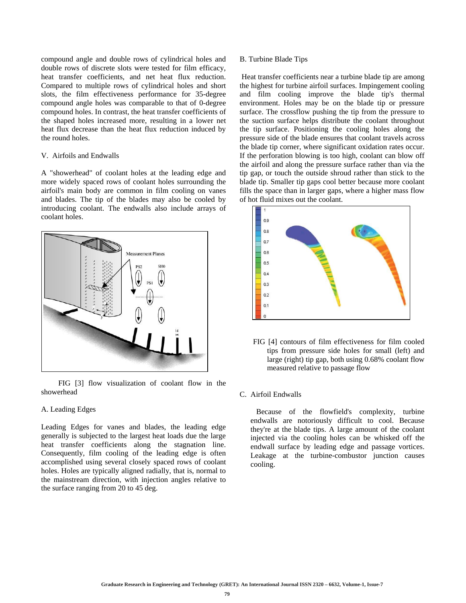compound angle and double rows of cylindrical holes and double rows of discrete slots were tested for film efficacy, heat transfer coefficients, and net heat flux reduction. Compared to multiple rows of cylindrical holes and short slots, the film effectiveness performance for 35-degree compound angle holes was comparable to that of 0-degree compound holes. In contrast, the heat transfer coefficients of the shaped holes increased more, resulting in a lower net heat flux decrease than the heat flux reduction induced by the round holes.

## V. Airfoils and Endwalls

A "showerhead" of coolant holes at the leading edge and more widely spaced rows of coolant holes surrounding the airfoil's main body are common in film cooling on vanes and blades. The tip of the blades may also be cooled by introducing coolant. The endwalls also include arrays of coolant holes.



 FIG [3] flow visualization of coolant flow in the showerhead

### A. Leading Edges

Leading Edges for vanes and blades, the leading edge generally is subjected to the largest heat loads due the large heat transfer coefficients along the stagnation line. Consequently, film cooling of the leading edge is often accomplished using several closely spaced rows of coolant holes. Holes are typically aligned radially, that is, normal to the mainstream direction, with injection angles relative to the surface ranging from 20 to 45 deg.

## B. Turbine Blade Tips

Heat transfer coefficients near a turbine blade tip are among the highest for turbine airfoil surfaces. Impingement cooling and film cooling improve the blade tip's thermal environment. Holes may be on the blade tip or pressure surface. The crossflow pushing the tip from the pressure to the suction surface helps distribute the coolant throughout the tip surface. Positioning the cooling holes along the pressure side of the blade ensures that coolant travels across the blade tip corner, where significant oxidation rates occur. If the perforation blowing is too high, coolant can blow off the airfoil and along the pressure surface rather than via the tip gap, or touch the outside shroud rather than stick to the blade tip. Smaller tip gaps cool better because more coolant fills the space than in larger gaps, where a higher mass flow of hot fluid mixes out the coolant.



 FIG [4] contours of film effectiveness for film cooled tips from pressure side holes for small (left) and large (right) tip gap, both using 0.68% coolant flow measured relative to passage flow

## C. Airfoil Endwalls

 Because of the flowfield's complexity, turbine endwalls are notoriously difficult to cool. Because they're at the blade tips. A large amount of the coolant injected via the cooling holes can be whisked off the endwall surface by leading edge and passage vortices. Leakage at the turbine-combustor junction causes cooling.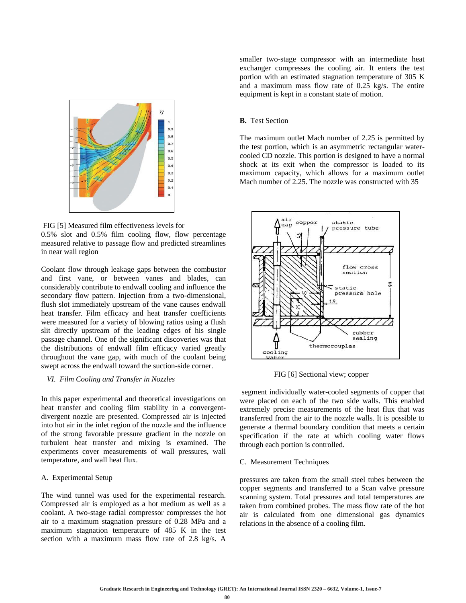

FIG [5] Measured film effectiveness levels for 0.5% slot and 0.5% film cooling flow, flow percentage measured relative to passage flow and predicted streamlines in near wall region

Coolant flow through leakage gaps between the combustor and first vane, or between vanes and blades, can considerably contribute to endwall cooling and influence the secondary flow pattern. Injection from a two-dimensional, flush slot immediately upstream of the vane causes endwall heat transfer. Film efficacy and heat transfer coefficients were measured for a variety of blowing ratios using a flush slit directly upstream of the leading edges of his single passage channel. One of the significant discoveries was that the distributions of endwall film efficacy varied greatly throughout the vane gap, with much of the coolant being swept across the endwall toward the suction-side corner.

## *VI. Film Cooling and Transfer in Nozzles*

In this paper experimental and theoretical investigations on heat transfer and cooling film stability in a convergentdivergent nozzle are presented. Compressed air is injected into hot air in the inlet region of the nozzle and the influence of the strong favorable pressure gradient in the nozzle on turbulent heat transfer and mixing is examined. The experiments cover measurements of wall pressures, wall temperature, and wall heat flux.

### A. Experimental Setup

The wind tunnel was used for the experimental research. Compressed air is employed as a hot medium as well as a coolant. A two-stage radial compressor compresses the hot air to a maximum stagnation pressure of 0.28 MPa and a maximum stagnation temperature of 485 K in the test section with a maximum mass flow rate of 2.8 kg/s. A

smaller two-stage compressor with an intermediate heat exchanger compresses the cooling air. It enters the test portion with an estimated stagnation temperature of 305 K and a maximum mass flow rate of 0.25 kg/s. The entire equipment is kept in a constant state of motion.

## **B.** Test Section

The maximum outlet Mach number of 2.25 is permitted by the test portion, which is an asymmetric rectangular watercooled CD nozzle. This portion is designed to have a normal shock at its exit when the compressor is loaded to its maximum capacity, which allows for a maximum outlet Mach number of 2.25. The nozzle was constructed with 35



FIG [6] Sectional view; copper

segment individually water-cooled segments of copper that were placed on each of the two side walls. This enabled extremely precise measurements of the heat flux that was transferred from the air to the nozzle walls. It is possible to generate a thermal boundary condition that meets a certain specification if the rate at which cooling water flows through each portion is controlled.

#### C. Measurement Techniques

pressures are taken from the small steel tubes between the copper segments and transferred to a Scan valve pressure scanning system. Total pressures and total temperatures are taken from combined probes. The mass flow rate of the hot air is calculated from one dimensional gas dynamics relations in the absence of a cooling film.